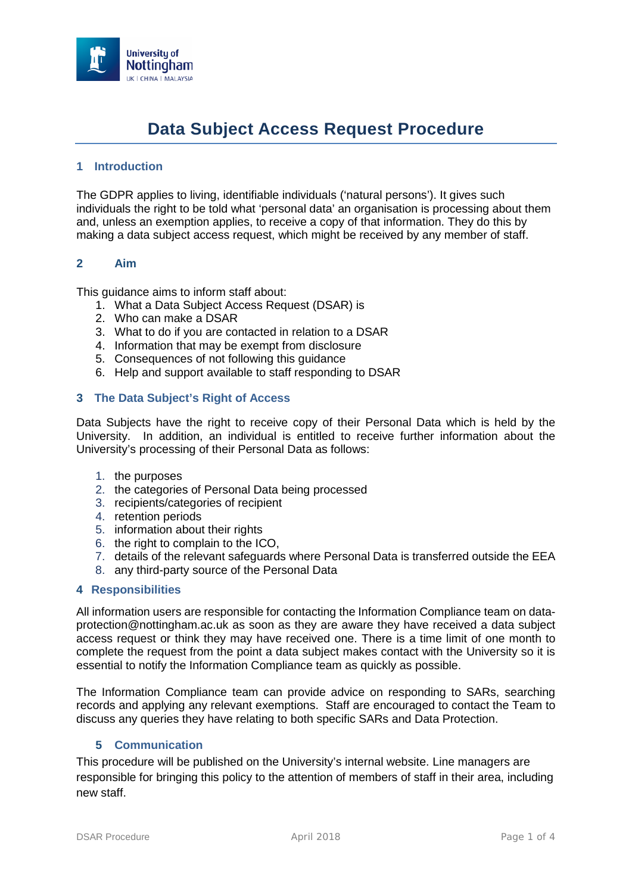

# **Data Subject Access Request Procedure**

### **1 Introduction**

The GDPR applies to living, identifiable individuals ('natural persons'). It gives such individuals the right to be told what 'personal data' an organisation is processing about them and, unless an exemption applies, to receive a copy of that information. They do this by making a data subject access request, which might be received by any member of staff.

#### **2 Aim**

This guidance aims to inform staff about:

- 1. What a Data Subject Access Request (DSAR) is
- 2. Who can make a DSAR
- 3. What to do if you are contacted in relation to a DSAR
- 4. Information that may be exempt from disclosure
- 5. Consequences of not following this guidance
- 6. Help and support available to staff responding to DSAR

### **3 The Data Subject's Right of Access**

Data Subjects have the right to receive copy of their Personal Data which is held by the University. In addition, an individual is entitled to receive further information about the University's processing of their Personal Data as follows:

- 1. the purposes
- 2. the categories of Personal Data being processed
- 3. recipients/categories of recipient
- 4. retention periods
- 5. information about their rights
- 6. the right to complain to the ICO,
- 7. details of the relevant safeguards where Personal Data is transferred outside the EEA
- 8. any third-party source of the Personal Data

#### **4 Responsibilities**

All information users are responsible for contacting the Information Compliance team on [data](mailto:data-protection@nottingham.ac.uk)[protection@nottingham.ac.uk](mailto:data-protection@nottingham.ac.uk) as soon as they are aware they have received a data subject access request or think they may have received one. There is a time limit of one month to complete the request from the point a data subject makes contact with the University so it is essential to notify the Information Compliance team as quickly as possible.

The Information Compliance team can provide advice on responding to SARs, searching records and applying any relevant exemptions. Staff are encouraged to contact the Team to discuss any queries they have relating to both specific SARs and Data Protection.

#### **5 Communication**

This procedure will be published on the University's internal website. Line managers are responsible for bringing this policy to the attention of members of staff in their area, including new staff.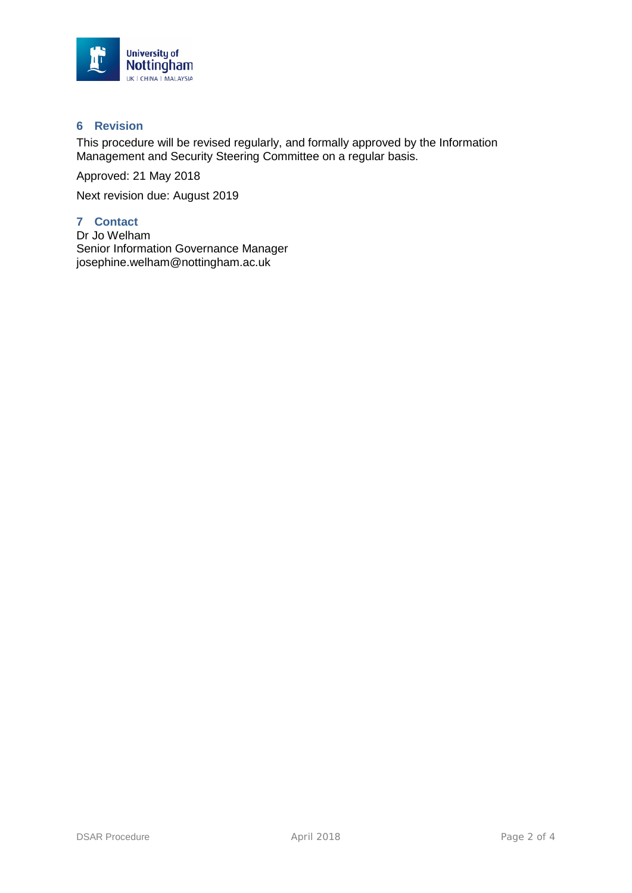

### **6 Revision**

This procedure will be revised regularly, and formally approved by the Information Management and Security Steering Committee on a regular basis.

Approved: 21 May 2018

Next revision due: August 2019

## **7 Contact**

Dr Jo Welham Senior Information Governance Manager josephine.welham@nottingham.ac.uk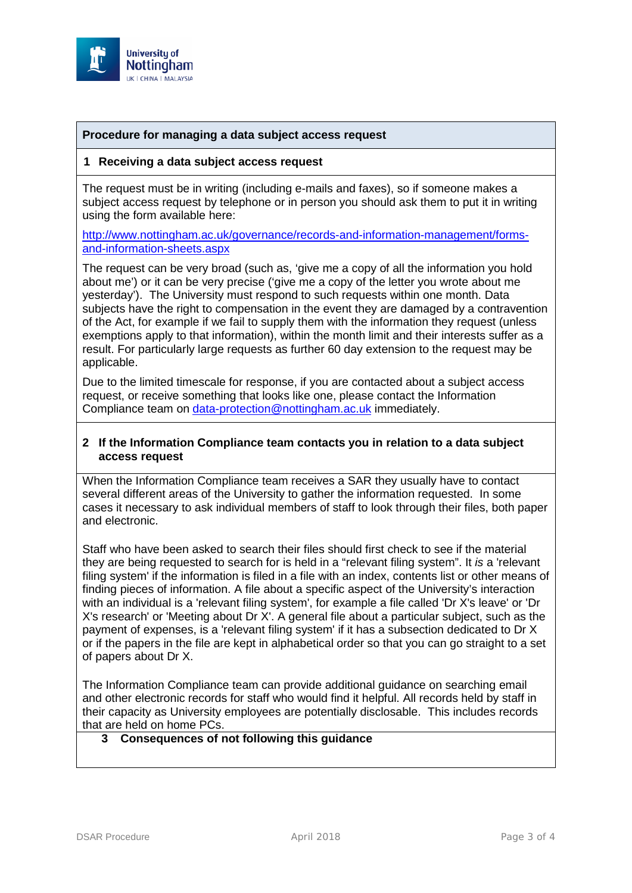

### **Procedure for managing a data subject access request**

#### **1 Receiving a data subject access request**

The request must be in writing (including e-mails and faxes), so if someone makes a subject access request by telephone or in person you should ask them to put it in writing using the form available here:

[http://www.nottingham.ac.uk/governance/records-and-information-management/forms](http://www.nottingham.ac.uk/governance/records-and-information-management/forms-and-information-sheets.aspx)[and-information-sheets.aspx](http://www.nottingham.ac.uk/governance/records-and-information-management/forms-and-information-sheets.aspx)

The request can be very broad (such as, 'give me a copy of all the information you hold about me') or it can be very precise ('give me a copy of the letter you wrote about me yesterday'). The University must respond to such requests within one month. Data subjects have the right to compensation in the event they are damaged by a contravention of the Act, for example if we fail to supply them with the information they request (unless exemptions apply to that information), within the month limit and their interests suffer as a result. For particularly large requests as further 60 day extension to the request may be applicable.

Due to the limited timescale for response, if you are contacted about a subject access request, or receive something that looks like one, please contact the Information Compliance team on [data-protection@nottingham.ac.uk](mailto:data-protection@nottingham.ac.uk) immediately.

#### **2 If the Information Compliance team contacts you in relation to a data subject access request**

When the Information Compliance team receives a SAR they usually have to contact several different areas of the University to gather the information requested. In some cases it necessary to ask individual members of staff to look through their files, both paper and electronic.

Staff who have been asked to search their files should first check to see if the material they are being requested to search for is held in a "relevant filing system". It *is* a 'relevant filing system' if the information is filed in a file with an index, contents list or other means of finding pieces of information. A file about a specific aspect of the University's interaction with an individual is a 'relevant filing system', for example a file called 'Dr X's leave' or 'Dr X's research' or 'Meeting about Dr X'. A general file about a particular subject, such as the payment of expenses, is a 'relevant filing system' if it has a subsection dedicated to Dr X or if the papers in the file are kept in alphabetical order so that you can go straight to a set of papers about Dr X.

The Information Compliance team can provide additional guidance on searching email and other electronic records for staff who would find it helpful. All records held by staff in their capacity as University employees are potentially disclosable. This includes records that are held on home PCs.

# **3 Consequences of not following this guidance**